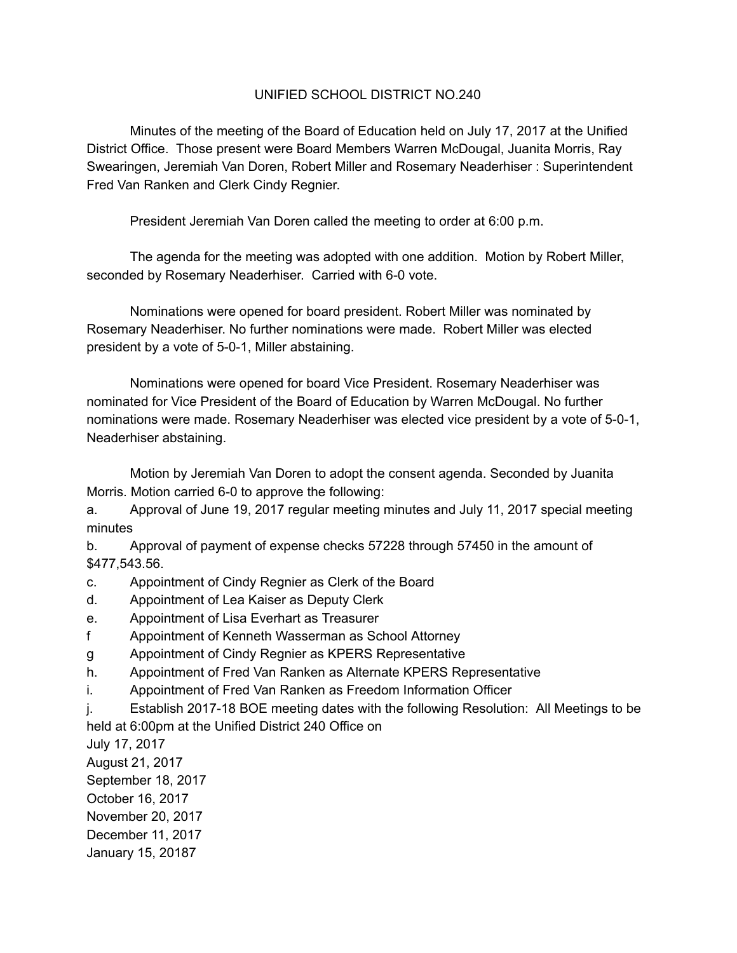## UNIFIED SCHOOL DISTRICT NO.240

Minutes of the meeting of the Board of Education held on July 17, 2017 at the Unified District Office. Those present were Board Members Warren McDougal, Juanita Morris, Ray Swearingen, Jeremiah Van Doren, Robert Miller and Rosemary Neaderhiser : Superintendent Fred Van Ranken and Clerk Cindy Regnier.

President Jeremiah Van Doren called the meeting to order at 6:00 p.m.

The agenda for the meeting was adopted with one addition. Motion by Robert Miller, seconded by Rosemary Neaderhiser. Carried with 6-0 vote.

Nominations were opened for board president. Robert Miller was nominated by Rosemary Neaderhiser. No further nominations were made. Robert Miller was elected president by a vote of 5-0-1, Miller abstaining.

Nominations were opened for board Vice President. Rosemary Neaderhiser was nominated for Vice President of the Board of Education by Warren McDougal. No further nominations were made. Rosemary Neaderhiser was elected vice president by a vote of 5-0-1, Neaderhiser abstaining.

Motion by Jeremiah Van Doren to adopt the consent agenda. Seconded by Juanita Morris. Motion carried 6-0 to approve the following:

a. Approval of June 19, 2017 regular meeting minutes and July 11, 2017 special meeting minutes

b. Approval of payment of expense checks 57228 through 57450 in the amount of \$477,543.56.

- c. Appointment of Cindy Regnier as Clerk of the Board
- d. Appointment of Lea Kaiser as Deputy Clerk
- e. Appointment of Lisa Everhart as Treasurer
- f Appointment of Kenneth Wasserman as School Attorney
- g Appointment of Cindy Regnier as KPERS Representative
- h. Appointment of Fred Van Ranken as Alternate KPERS Representative
- i. Appointment of Fred Van Ranken as Freedom Information Officer
- j. Establish 2017-18 BOE meeting dates with the following Resolution: All Meetings to be

held at 6:00pm at the Unified District 240 Office on

July 17, 2017

August 21, 2017

September 18, 2017

October 16, 2017

November 20, 2017

December 11, 2017

January 15, 20187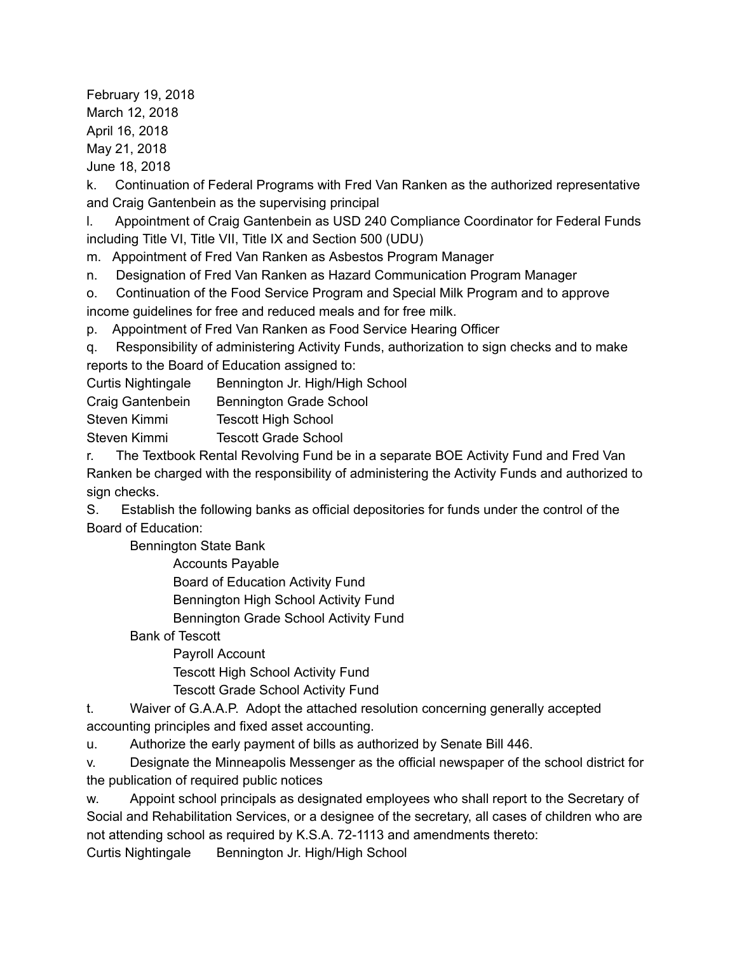February 19, 2018 March 12, 2018 April 16, 2018 May 21, 2018 June 18, 2018

k. Continuation of Federal Programs with Fred Van Ranken as the authorized representative and Craig Gantenbein as the supervising principal

l. Appointment of Craig Gantenbein as USD 240 Compliance Coordinator for Federal Funds including Title VI, Title VII, Title IX and Section 500 (UDU)

m. Appointment of Fred Van Ranken as Asbestos Program Manager

n. Designation of Fred Van Ranken as Hazard Communication Program Manager

o. Continuation of the Food Service Program and Special Milk Program and to approve income guidelines for free and reduced meals and for free milk.

p. Appointment of Fred Van Ranken as Food Service Hearing Officer

q. Responsibility of administering Activity Funds, authorization to sign checks and to make reports to the Board of Education assigned to:

| <b>Curtis Nightingale</b> | Bennington Jr. High/High School |
|---------------------------|---------------------------------|
| Craig Gantenbein          | <b>Bennington Grade School</b>  |
| Steven Kimmi              | <b>Tescott High School</b>      |
| Steven Kimmi              | <b>Tescott Grade School</b>     |
|                           |                                 |

r. The Textbook Rental Revolving Fund be in a separate BOE Activity Fund and Fred Van Ranken be charged with the responsibility of administering the Activity Funds and authorized to sign checks.

S. Establish the following banks as official depositories for funds under the control of the Board of Education:

Bennington State Bank

Accounts Payable

Board of Education Activity Fund

Bennington High School Activity Fund

Bennington Grade School Activity Fund

Bank of Tescott

Payroll Account Tescott High School Activity Fund Tescott Grade School Activity Fund

t. Waiver of G.A.A.P. Adopt the attached resolution concerning generally accepted accounting principles and fixed asset accounting.

u. Authorize the early payment of bills as authorized by Senate Bill 446.

v. Designate the Minneapolis Messenger as the official newspaper of the school district for the publication of required public notices

w. Appoint school principals as designated employees who shall report to the Secretary of Social and Rehabilitation Services, or a designee of the secretary, all cases of children who are not attending school as required by K.S.A. 72-1113 and amendments thereto:

Curtis Nightingale Bennington Jr. High/High School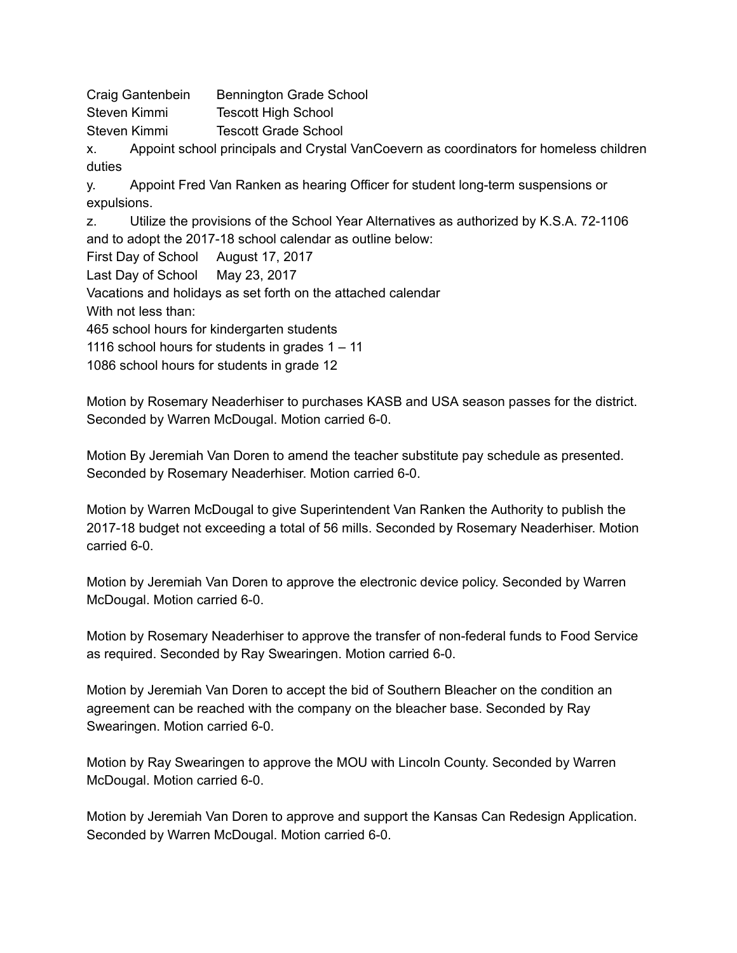Craig Gantenbein Bennington Grade School Steven Kimmi Tescott High School

Steven Kimmi Tescott Grade School

x. Appoint school principals and Crystal VanCoevern as coordinators for homeless children duties

y. Appoint Fred Van Ranken as hearing Officer for student long-term suspensions or expulsions.

z. Utilize the provisions of the School Year Alternatives as authorized by K.S.A. 72-1106 and to adopt the 2017-18 school calendar as outline below:

First Day of School August 17, 2017

Last Day of School May 23, 2017

Vacations and holidays as set forth on the attached calendar

With not less than:

465 school hours for kindergarten students

1116 school hours for students in grades 1 – 11

1086 school hours for students in grade 12

Motion by Rosemary Neaderhiser to purchases KASB and USA season passes for the district. Seconded by Warren McDougal. Motion carried 6-0.

Motion By Jeremiah Van Doren to amend the teacher substitute pay schedule as presented. Seconded by Rosemary Neaderhiser. Motion carried 6-0.

Motion by Warren McDougal to give Superintendent Van Ranken the Authority to publish the 2017-18 budget not exceeding a total of 56 mills. Seconded by Rosemary Neaderhiser. Motion  $carried$  6-0.

Motion by Jeremiah Van Doren to approve the electronic device policy. Seconded by Warren McDougal. Motion carried 6-0.

Motion by Rosemary Neaderhiser to approve the transfer of non-federal funds to Food Service as required. Seconded by Ray Swearingen. Motion carried 6-0.

Motion by Jeremiah Van Doren to accept the bid of Southern Bleacher on the condition an agreement can be reached with the company on the bleacher base. Seconded by Ray Swearingen. Motion carried 6-0.

Motion by Ray Swearingen to approve the MOU with Lincoln County. Seconded by Warren McDougal. Motion carried 6-0.

Motion by Jeremiah Van Doren to approve and support the Kansas Can Redesign Application. Seconded by Warren McDougal. Motion carried 6-0.